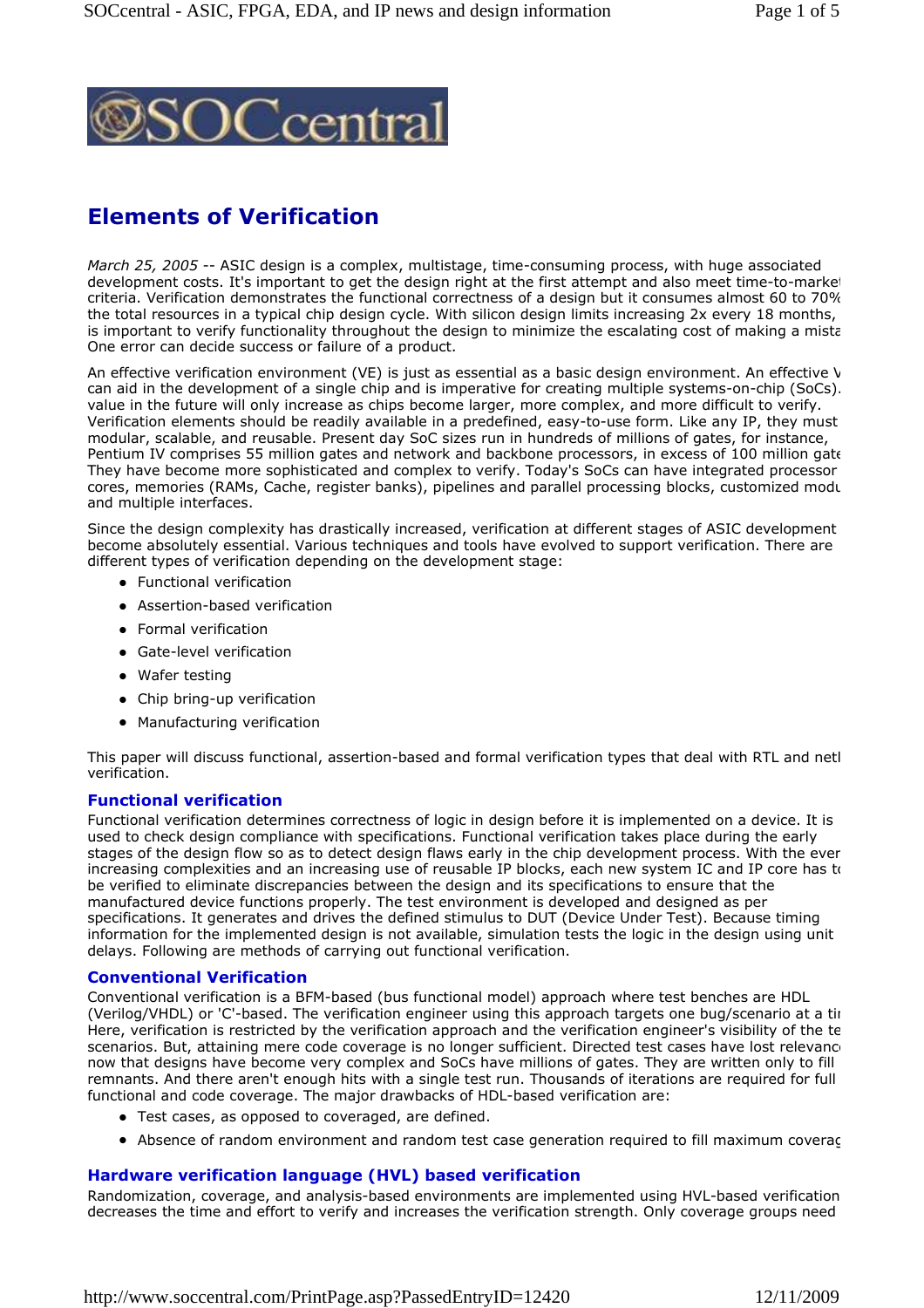

# **Elements of Verification**

*March 25, 2005* -- ASIC design is a complex, multistage, time-consuming process, with huge associated development costs. It's important to get the design right at the first attempt and also meet time-to-market criteria. Verification demonstrates the functional correctness of a design but it consumes almost 60 to 70% the total resources in a typical chip design cycle. With silicon design limits increasing 2x every 18 months, is important to verify functionality throughout the design to minimize the escalating cost of making a mistal One error can decide success or failure of a product.

An effective verification environment (VE) is just as essential as a basic design environment. An effective  $V$ can aid in the development of a single chip and is imperative for creating multiple systems-on-chip (SoCs). value in the future will only increase as chips become larger, more complex, and more difficult to verify. Verification elements should be readily available in a predefined, easy-to-use form. Like any IP, they must be modular, scalable, and reusable. Present day SoC sizes run in hundreds of millions of gates, for instance, Pentium IV comprises 55 million gates and network and backbone processors, in excess of 100 million gate They have become more sophisticated and complex to verify. Today's SoCs can have integrated processor cores, memories (RAMs, Cache, register banks), pipelines and parallel processing blocks, customized modu and multiple interfaces.

Since the design complexity has drastically increased, verification at different stages of ASIC development become absolutely essential. Various techniques and tools have evolved to support verification. There are different types of verification depending on the development stage:

- **•** Functional verification
- Assertion-based verification
- Formal verification
- Gate-level verification
- Wafer testing
- Chip bring-up verification
- Manufacturing verification

This paper will discuss functional, assertion-based and formal verification types that deal with RTL and netl verification.

#### **Functional verification**

Functional verification determines correctness of logic in design before it is implemented on a device. It is used to check design compliance with specifications. Functional verification takes place during the early stages of the design flow so as to detect design flaws early in the chip development process. With the ever increasing complexities and an increasing use of reusable IP blocks, each new system IC and IP core has to be verified to eliminate discrepancies between the design and its specifications to ensure that the manufactured device functions properly. The test environment is developed and designed as per specifications. It generates and drives the defined stimulus to DUT (Device Under Test). Because timing information for the implemented design is not available, simulation tests the logic in the design using unit delays. Following are methods of carrying out functional verification.

## **Conventional Verification**

Conventional verification is a BFM-based (bus functional model) approach where test benches are HDL (Verilog/VHDL) or 'C'-based. The verification engineer using this approach targets one bug/scenario at a tim Here, verification is restricted by the verification approach and the verification engineer's visibility of the te scenarios. But, attaining mere code coverage is no longer sufficient. Directed test cases have lost relevance now that designs have become very complex and SoCs have millions of gates. They are written only to fill remnants. And there aren't enough hits with a single test run. Thousands of iterations are required for full functional and code coverage. The major drawbacks of HDL-based verification are:

- Test cases, as opposed to coveraged, are defined.
- Absence of random environment and random test case generation required to fill maximum coverage

#### **Hardware verification language (HVL) based verification**

Randomization, coverage, and analysis-based environments are implemented using HVL-based verification decreases the time and effort to verify and increases the verification strength. Only coverage groups need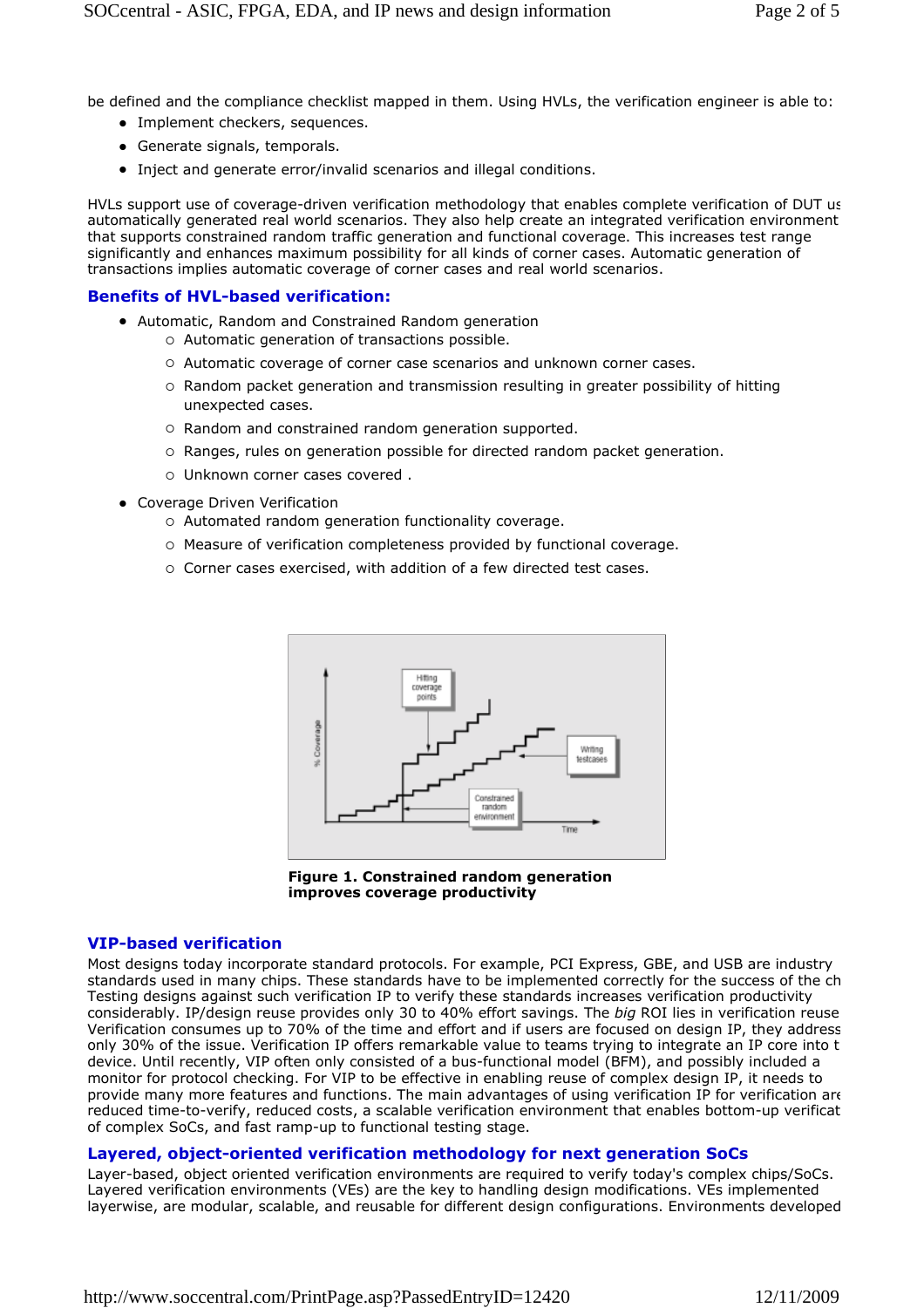be defined and the compliance checklist mapped in them. Using HVLs, the verification engineer is able to:

- Implement checkers, sequences.
- Generate signals, temporals.
- Inject and generate error/invalid scenarios and illegal conditions.

HVLs support use of coverage-driven verification methodology that enables complete verification of DUT using automatically generated real world scenarios. They also help create an integrated verification environment that supports constrained random traffic generation and functional coverage. This increases test range significantly and enhances maximum possibility for all kinds of corner cases. Automatic generation of transactions implies automatic coverage of corner cases and real world scenarios.

## **Benefits of HVL-based verification:**

- Automatic, Random and Constrained Random generation
	- Automatic generation of transactions possible.
	- Automatic coverage of corner case scenarios and unknown corner cases.
	- Random packet generation and transmission resulting in greater possibility of hitting unexpected cases.
	- Random and constrained random generation supported.
	- Ranges, rules on generation possible for directed random packet generation.
	- o Unknown corner cases covered.
- Coverage Driven Verification
	- Automated random generation functionality coverage.
	- Measure of verification completeness provided by functional coverage.
	- Corner cases exercised, with addition of a few directed test cases.



**Figure 1. Constrained random generation improves coverage productivity**

#### **VIP-based verification**

Most designs today incorporate standard protocols. For example, PCI Express, GBE, and USB are industry standards used in many chips. These standards have to be implemented correctly for the success of the chip. Testing designs against such verification IP to verify these standards increases verification productivity considerably. IP/design reuse provides only 30 to 40% effort savings. The *big* ROI lies in verification reuse. Verification consumes up to 70% of the time and effort and if users are focused on design IP, they address only 30% of the issue. Verification IP offers remarkable value to teams trying to integrate an IP core into t device. Until recently, VIP often only consisted of a bus-functional model (BFM), and possibly included a monitor for protocol checking. For VIP to be effective in enabling reuse of complex design IP, it needs to provide many more features and functions. The main advantages of using verification IP for verification are reduced time-to-verify, reduced costs, a scalable verification environment that enables bottom-up verificat of complex SoCs, and fast ramp-up to functional testing stage.

#### **Layered, object-oriented verification methodology for next generation SoCs**

Layer-based, object oriented verification environments are required to verify today's complex chips/SoCs. Layered verification environments (VEs) are the key to handling design modifications. VEs implemented layerwise, are modular, scalable, and reusable for different design configurations. Environments developed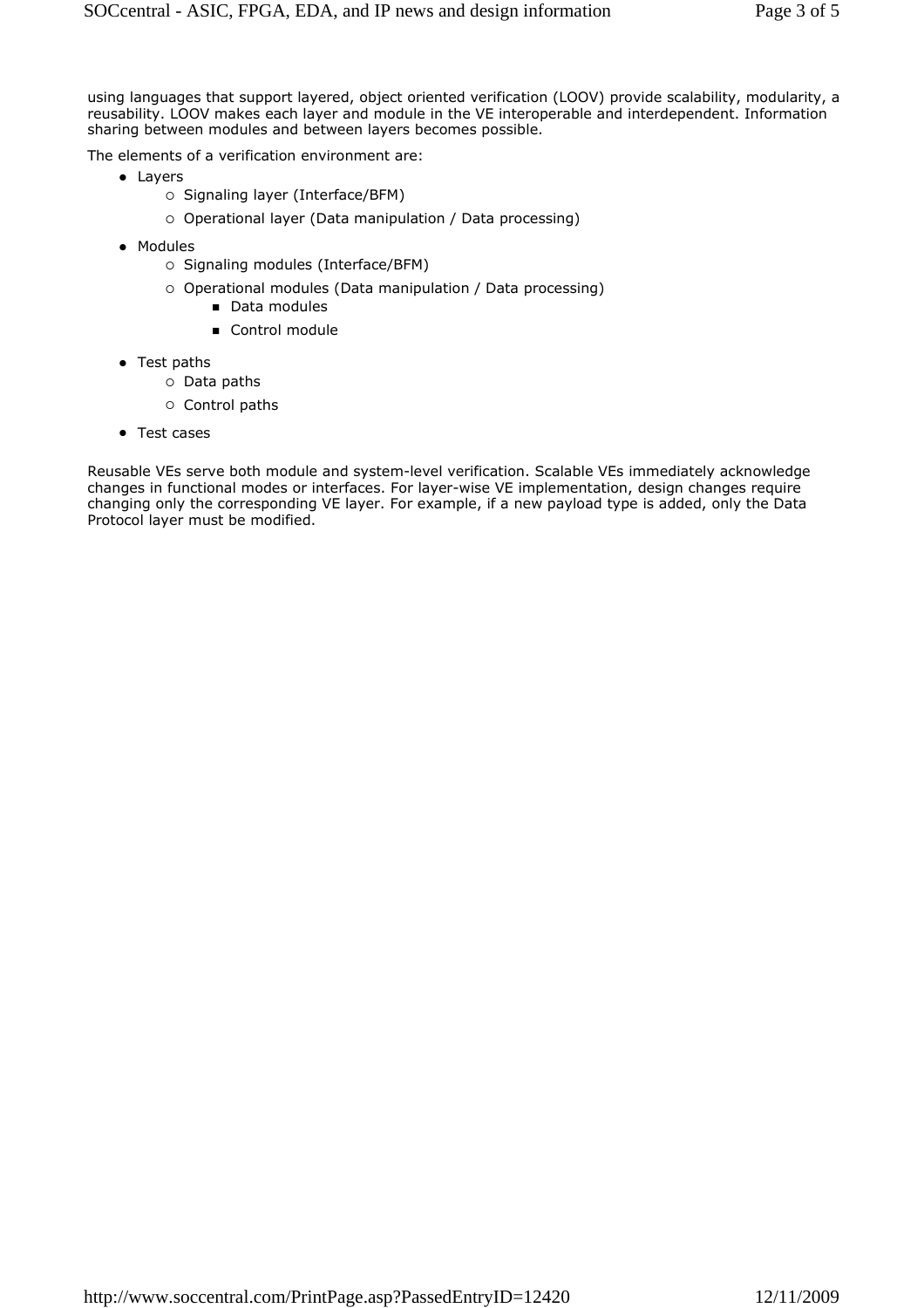using languages that support layered, object oriented verification (LOOV) provide scalability, modularity, a reusability. LOOV makes each layer and module in the VE interoperable and interdependent. Information sharing between modules and between layers becomes possible.

The elements of a verification environment are:

- Layers
	- Signaling layer (Interface/BFM)
	- Operational layer (Data manipulation / Data processing)
- Modules
	- Signaling modules (Interface/BFM)
	- Operational modules (Data manipulation / Data processing)
		- Data modules
		- Control module
- Test paths
	- Data paths
	- o Control paths
- Test cases

Reusable VEs serve both module and system-level verification. Scalable VEs immediately acknowledge changes in functional modes or interfaces. For layer-wise VE implementation, design changes require changing only the corresponding VE layer. For example, if a new payload type is added, only the Data Protocol layer must be modified.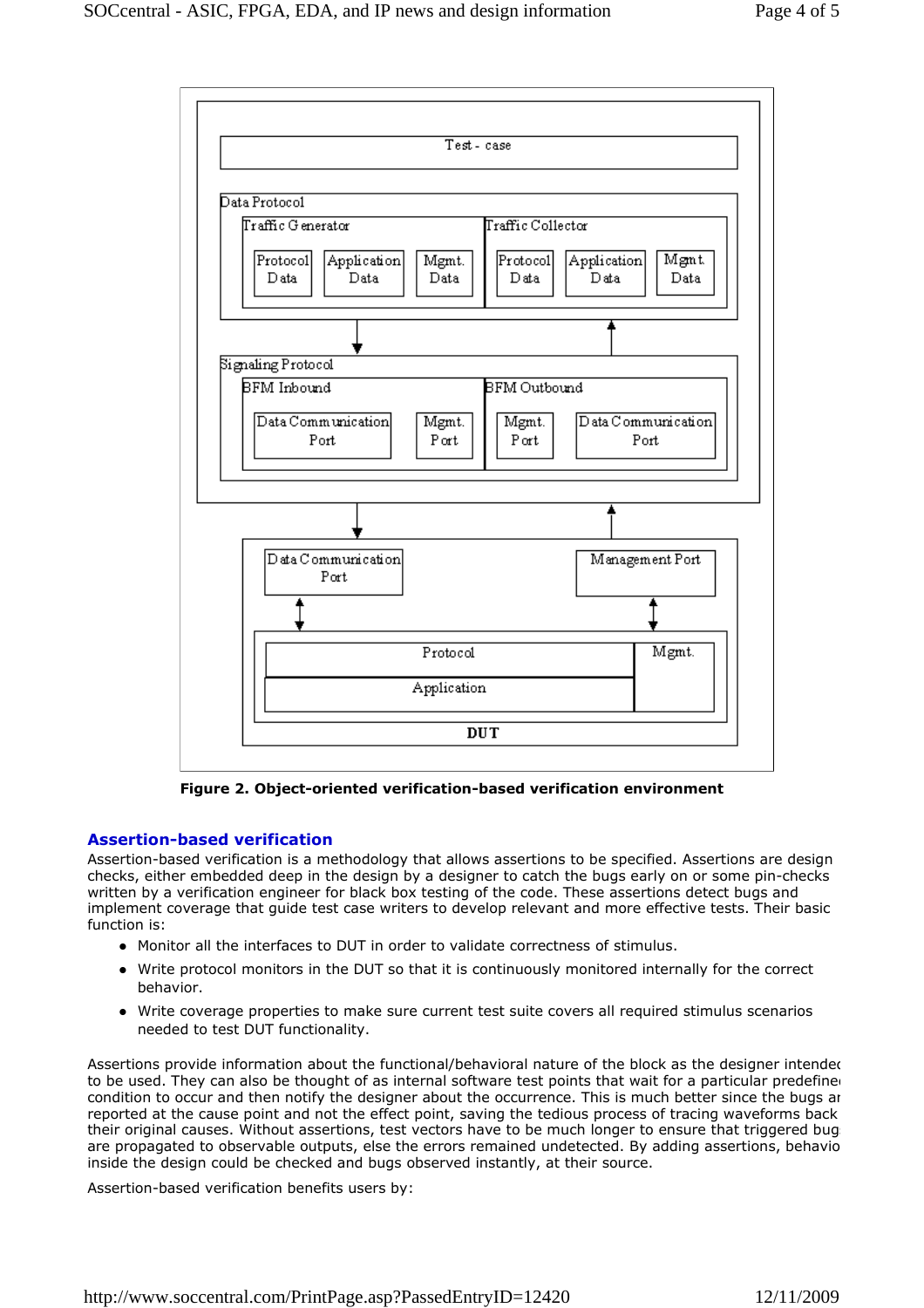

**Figure 2. Object-oriented verification-based verification environment**

# **Assertion-based verification**

Assertion-based verification is a methodology that allows assertions to be specified. Assertions are design checks, either embedded deep in the design by a designer to catch the bugs early on or some pin-checks written by a verification engineer for black box testing of the code. These assertions detect bugs and implement coverage that guide test case writers to develop relevant and more effective tests. Their basic function is:

- Monitor all the interfaces to DUT in order to validate correctness of stimulus.
- Write protocol monitors in the DUT so that it is continuously monitored internally for the correct behavior.
- Write coverage properties to make sure current test suite covers all required stimulus scenarios needed to test DUT functionality.

Assertions provide information about the functional/behavioral nature of the block as the designer intended to be used. They can also be thought of as internal software test points that wait for a particular predefine condition to occur and then notify the designer about the occurrence. This is much better since the bugs are reported at the cause point and not the effect point, saving the tedious process of tracing waveforms back their original causes. Without assertions, test vectors have to be much longer to ensure that triggered bugs are propagated to observable outputs, else the errors remained undetected. By adding assertions, behavior inside the design could be checked and bugs observed instantly, at their source.

Assertion-based verification benefits users by: